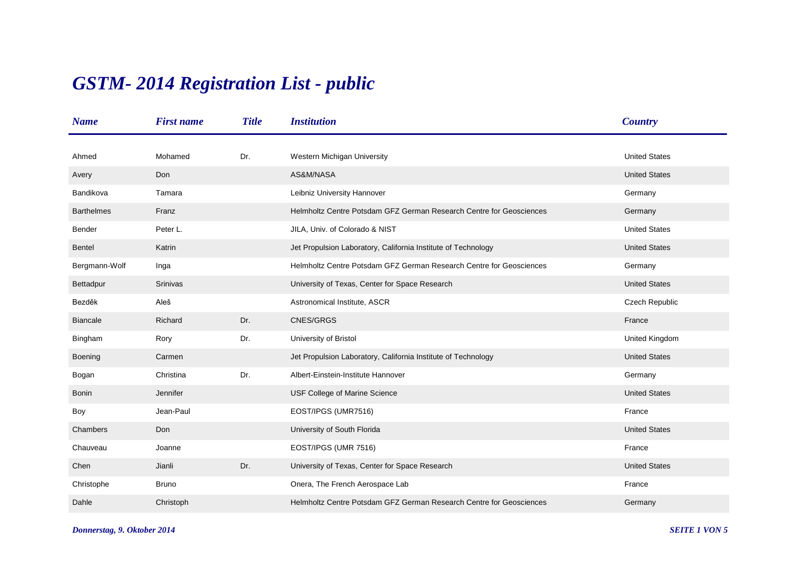## *GSTM- 2014 Registration List - public*

| <b>Name</b>       | <b>First name</b> | <b>Title</b> | <b>Institution</b>                                                  | <b>Country</b>       |
|-------------------|-------------------|--------------|---------------------------------------------------------------------|----------------------|
|                   |                   |              |                                                                     |                      |
| Ahmed             | Mohamed           | Dr.          | Western Michigan University                                         | <b>United States</b> |
| Avery             | Don               |              | AS&M/NASA                                                           | <b>United States</b> |
| Bandikova         | Tamara            |              | Leibniz University Hannover                                         | Germany              |
| <b>Barthelmes</b> | Franz             |              | Helmholtz Centre Potsdam GFZ German Research Centre for Geosciences | Germany              |
| Bender            | Peter L.          |              | JILA, Univ. of Colorado & NIST                                      | <b>United States</b> |
| Bentel            | Katrin            |              | Jet Propulsion Laboratory, California Institute of Technology       | <b>United States</b> |
| Bergmann-Wolf     | Inga              |              | Helmholtz Centre Potsdam GFZ German Research Centre for Geosciences | Germany              |
| Bettadpur         | Srinivas          |              | University of Texas, Center for Space Research                      | <b>United States</b> |
| Bezděk            | Aleš              |              | Astronomical Institute, ASCR                                        | Czech Republic       |
| <b>Biancale</b>   | Richard           | Dr.          | CNES/GRGS                                                           | France               |
| Bingham           | Rory              | Dr.          | University of Bristol                                               | United Kingdom       |
| Boening           | Carmen            |              | Jet Propulsion Laboratory, California Institute of Technology       | <b>United States</b> |
| Bogan             | Christina         | Dr.          | Albert-Einstein-Institute Hannover                                  | Germany              |
| <b>Bonin</b>      | Jennifer          |              | USF College of Marine Science                                       | <b>United States</b> |
| Boy               | Jean-Paul         |              | EOST/IPGS (UMR7516)                                                 | France               |
| Chambers          | Don               |              | University of South Florida                                         | <b>United States</b> |
| Chauveau          | Joanne            |              | EOST/IPGS (UMR 7516)                                                | France               |
| Chen              | Jianli            | Dr.          | University of Texas, Center for Space Research                      | <b>United States</b> |
| Christophe        | <b>Bruno</b>      |              | Onera, The French Aerospace Lab                                     | France               |
| Dahle             | Christoph         |              | Helmholtz Centre Potsdam GFZ German Research Centre for Geosciences | Germany              |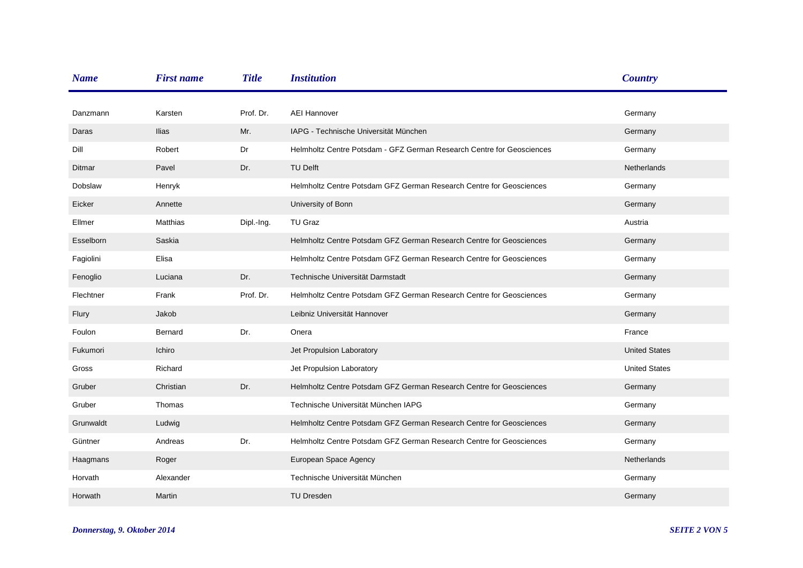| <b>Name</b> | <b>First name</b> | <b>Title</b> | <b>Institution</b>                                                    | <b>Country</b>       |
|-------------|-------------------|--------------|-----------------------------------------------------------------------|----------------------|
|             |                   |              |                                                                       |                      |
| Danzmann    | Karsten           | Prof. Dr.    | <b>AEI Hannover</b>                                                   | Germany              |
| Daras       | <b>Ilias</b>      | Mr.          | IAPG - Technische Universität München                                 | Germany              |
| Dill        | Robert            | Dr           | Helmholtz Centre Potsdam - GFZ German Research Centre for Geosciences | Germany              |
| Ditmar      | Pavel             | Dr.          | <b>TU Delft</b>                                                       | <b>Netherlands</b>   |
| Dobslaw     | Henryk            |              | Helmholtz Centre Potsdam GFZ German Research Centre for Geosciences   | Germany              |
| Eicker      | Annette           |              | University of Bonn                                                    | Germany              |
| Ellmer      | Matthias          | Dipl.-Ing.   | TU Graz                                                               | Austria              |
| Esselborn   | Saskia            |              | Helmholtz Centre Potsdam GFZ German Research Centre for Geosciences   | Germany              |
| Fagiolini   | Elisa             |              | Helmholtz Centre Potsdam GFZ German Research Centre for Geosciences   | Germany              |
| Fenoglio    | Luciana           | Dr.          | Technische Universität Darmstadt                                      | Germany              |
| Flechtner   | Frank             | Prof. Dr.    | Helmholtz Centre Potsdam GFZ German Research Centre for Geosciences   | Germany              |
| Flury       | Jakob             |              | Leibniz Universität Hannover                                          | Germany              |
| Foulon      | Bernard           | Dr.          | Onera                                                                 | France               |
| Fukumori    | Ichiro            |              | Jet Propulsion Laboratory                                             | <b>United States</b> |
| Gross       | Richard           |              | Jet Propulsion Laboratory                                             | <b>United States</b> |
| Gruber      | Christian         | Dr.          | Helmholtz Centre Potsdam GFZ German Research Centre for Geosciences   | Germany              |
| Gruber      | Thomas            |              | Technische Universität München IAPG                                   | Germany              |
| Grunwaldt   | Ludwig            |              | Helmholtz Centre Potsdam GFZ German Research Centre for Geosciences   | Germany              |
| Güntner     | Andreas           | Dr.          | Helmholtz Centre Potsdam GFZ German Research Centre for Geosciences   | Germany              |
| Haagmans    | Roger             |              | European Space Agency                                                 | <b>Netherlands</b>   |
| Horvath     | Alexander         |              | Technische Universität München                                        | Germany              |
| Horwath     | Martin            |              | <b>TU Dresden</b>                                                     | Germany              |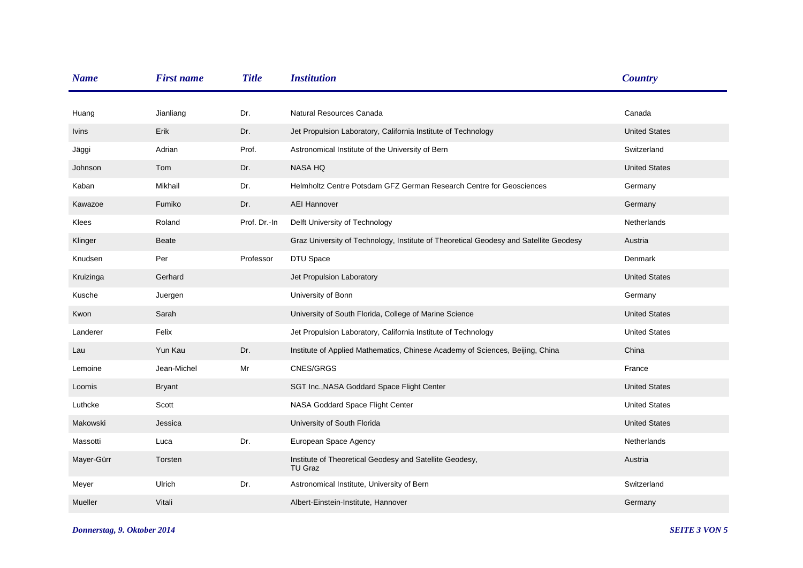| <b>Name</b>  | <b>First name</b> | <b>Title</b> | <b>Institution</b>                                                                    | <b>Country</b>       |
|--------------|-------------------|--------------|---------------------------------------------------------------------------------------|----------------------|
| Huang        | Jianliang         | Dr.          | Natural Resources Canada                                                              | Canada               |
| <b>Ivins</b> | Erik              | Dr.          | Jet Propulsion Laboratory, California Institute of Technology                         | <b>United States</b> |
| Jäggi        | Adrian            | Prof.        | Astronomical Institute of the University of Bern                                      | Switzerland          |
| Johnson      | Tom               | Dr.          | <b>NASA HQ</b>                                                                        | <b>United States</b> |
| Kaban        | Mikhail           | Dr.          | Helmholtz Centre Potsdam GFZ German Research Centre for Geosciences                   | Germany              |
| Kawazoe      | Fumiko            | Dr.          | <b>AEI Hannover</b>                                                                   | Germany              |
| Klees        | Roland            | Prof. Dr.-In | Delft University of Technology                                                        | Netherlands          |
| Klinger      | <b>Beate</b>      |              | Graz University of Technology, Institute of Theoretical Geodesy and Satellite Geodesy | Austria              |
| Knudsen      | Per               | Professor    | DTU Space                                                                             | Denmark              |
| Kruizinga    | Gerhard           |              | Jet Propulsion Laboratory                                                             | <b>United States</b> |
| Kusche       | Juergen           |              | University of Bonn                                                                    | Germany              |
| Kwon         | Sarah             |              | University of South Florida, College of Marine Science                                | <b>United States</b> |
| Landerer     | Felix             |              | Jet Propulsion Laboratory, California Institute of Technology                         | <b>United States</b> |
| Lau          | Yun Kau           | Dr.          | Institute of Applied Mathematics, Chinese Academy of Sciences, Beijing, China         | China                |
| Lemoine      | Jean-Michel       | Mr           | CNES/GRGS                                                                             | France               |
| Loomis       | <b>Bryant</b>     |              | SGT Inc., NASA Goddard Space Flight Center                                            | <b>United States</b> |
| Luthcke      | Scott             |              | NASA Goddard Space Flight Center                                                      | <b>United States</b> |
| Makowski     | Jessica           |              | University of South Florida                                                           | <b>United States</b> |
| Massotti     | Luca              | Dr.          | European Space Agency                                                                 | Netherlands          |
| Mayer-Gürr   | Torsten           |              | Institute of Theoretical Geodesy and Satellite Geodesy,<br>TU Graz                    | Austria              |
| Meyer        | Ulrich            | Dr.          | Astronomical Institute, University of Bern                                            | Switzerland          |
| Mueller      | Vitali            |              | Albert-Einstein-Institute, Hannover                                                   | Germany              |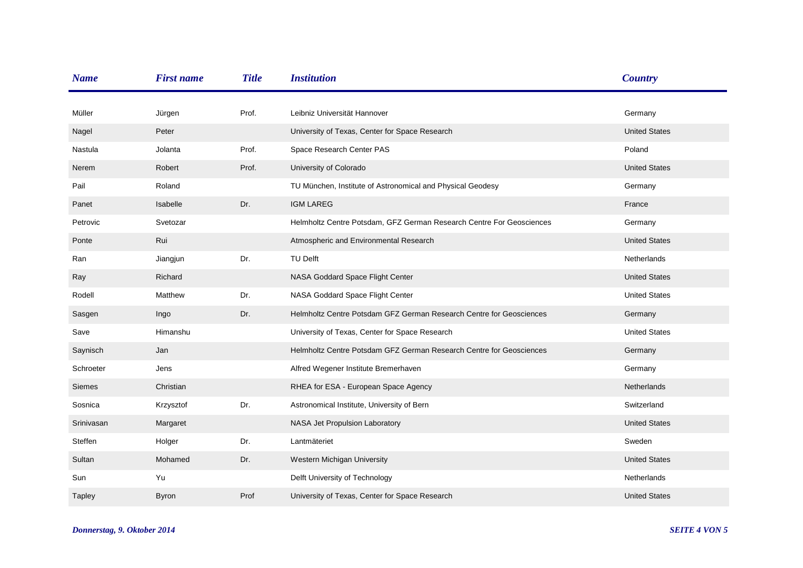| <b>Name</b> | <b>First name</b> | <b>Title</b> | <b>Institution</b>                                                   | <b>Country</b>       |
|-------------|-------------------|--------------|----------------------------------------------------------------------|----------------------|
|             |                   | Prof.        | Leibniz Universität Hannover                                         |                      |
| Müller      | Jürgen            |              |                                                                      | Germany              |
| Nagel       | Peter             |              | University of Texas, Center for Space Research                       | <b>United States</b> |
| Nastula     | Jolanta           | Prof.        | Space Research Center PAS                                            | Poland               |
| Nerem       | Robert            | Prof.        | University of Colorado                                               | <b>United States</b> |
| Pail        | Roland            |              | TU München, Institute of Astronomical and Physical Geodesy           | Germany              |
| Panet       | Isabelle          | Dr.          | <b>IGM LAREG</b>                                                     | France               |
| Petrovic    | Svetozar          |              | Helmholtz Centre Potsdam, GFZ German Research Centre For Geosciences | Germany              |
| Ponte       | Rui               |              | Atmospheric and Environmental Research                               | <b>United States</b> |
| Ran         | Jiangjun          | Dr.          | TU Delft                                                             | Netherlands          |
| Ray         | Richard           |              | NASA Goddard Space Flight Center                                     | <b>United States</b> |
| Rodell      | Matthew           | Dr.          | NASA Goddard Space Flight Center                                     | <b>United States</b> |
| Sasgen      | Ingo              | Dr.          | Helmholtz Centre Potsdam GFZ German Research Centre for Geosciences  | Germany              |
| Save        | Himanshu          |              | University of Texas, Center for Space Research                       | <b>United States</b> |
| Saynisch    | Jan               |              | Helmholtz Centre Potsdam GFZ German Research Centre for Geosciences  | Germany              |
| Schroeter   | Jens              |              | Alfred Wegener Institute Bremerhaven                                 | Germany              |
| Siemes      | Christian         |              | RHEA for ESA - European Space Agency                                 | Netherlands          |
| Sosnica     | Krzysztof         | Dr.          | Astronomical Institute, University of Bern                           | Switzerland          |
| Srinivasan  | Margaret          |              | NASA Jet Propulsion Laboratory                                       | <b>United States</b> |
| Steffen     | Holger            | Dr.          | Lantmäteriet                                                         | Sweden               |
| Sultan      | Mohamed           | Dr.          | Western Michigan University                                          | <b>United States</b> |
| Sun         | Yu                |              | Delft University of Technology                                       | Netherlands          |
| Tapley      | <b>Byron</b>      | Prof         | University of Texas, Center for Space Research                       | <b>United States</b> |